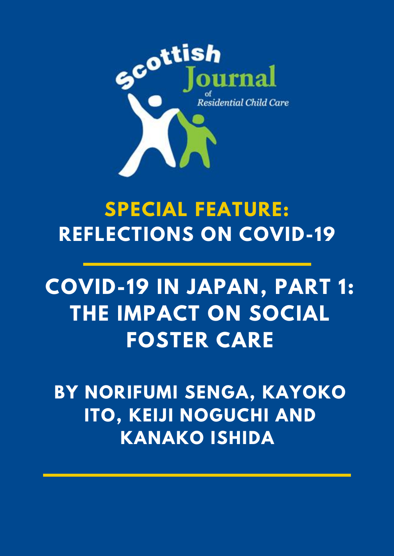

# **SPECIAL FEATURE: REFLECTIONS ON COVID-19**

# **COVID-19 IN JAPAN, PART 1: THE IMPACT ON SOCIAL FOSTER CARE**

**BY NORIFUMI SENGA, KAYOKO ITO, KEIJI NOGUCHI AND KANAKO ISHIDA**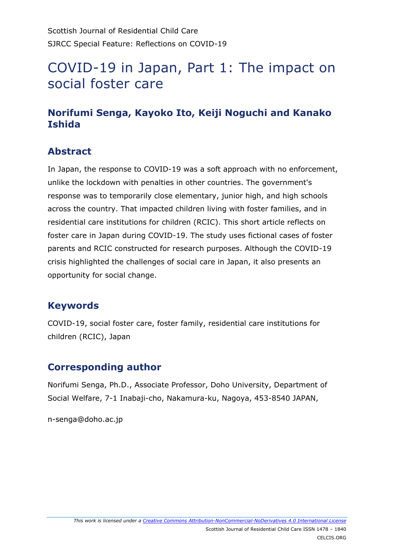# COVID-19 in Japan, Part 1: The impact on social foster care

# **Norifumi Senga, Kayoko Ito, Keiji Noguchi and Kanako Ishida**

### **Abstract**

In Japan, the response to COVID-19 was a soft approach with no enforcement, unlike the lockdown with penalties in other countries. The government's response was to temporarily close elementary, junior high, and high schools across the country. That impacted children living with foster families, and in residential care institutions for children (RCIC). This short article reflects on foster care in Japan during COVID-19. The study uses fictional cases of foster parents and RCIC constructed for research purposes. Although the COVID-19 crisis highlighted the challenges of social care in Japan, it also presents an opportunity for social change.

### **Keywords**

COVID-19, social foster care, foster family, residential care institutions for children (RCIC), Japan

# **Corresponding author**

Norifumi Senga, Ph.D., Associate Professor, Doho University, Department of Social Welfare, 7-1 Inabaji-cho, Nakamura-ku, Nagoya, 453-8540 JAPAN,

n-senga@doho.ac.jp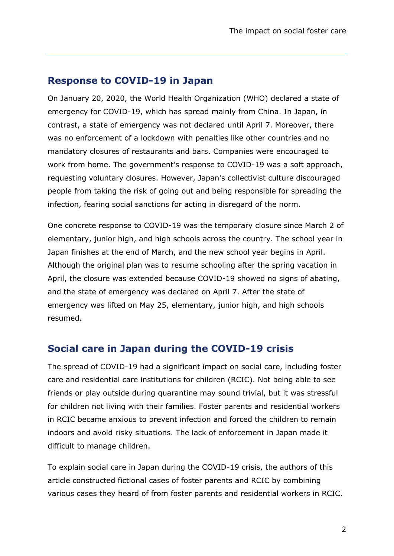#### **Response to COVID-19 in Japan**

On January 20, 2020, the World Health Organization (WHO) declared a state of emergency for COVID-19, which has spread mainly from China. In Japan, in contrast, a state of emergency was not declared until April 7. Moreover, there was no enforcement of a lockdown with penalties like other countries and no mandatory closures of restaurants and bars. Companies were encouraged to work from home. The government's response to COVID-19 was a soft approach, requesting voluntary closures. However, Japan's collectivist culture discouraged people from taking the risk of going out and being responsible for spreading the infection, fearing social sanctions for acting in disregard of the norm.

One concrete response to COVID-19 was the temporary closure since March 2 of elementary, junior high, and high schools across the country. The school year in Japan finishes at the end of March, and the new school year begins in April. Although the original plan was to resume schooling after the spring vacation in April, the closure was extended because COVID-19 showed no signs of abating, and the state of emergency was declared on April 7. After the state of emergency was lifted on May 25, elementary, junior high, and high schools resumed.

#### **Social care in Japan during the COVID-19 crisis**

The spread of COVID-19 had a significant impact on social care, including foster care and residential care institutions for children (RCIC). Not being able to see friends or play outside during quarantine may sound trivial, but it was stressful for children not living with their families. Foster parents and residential workers in RCIC became anxious to prevent infection and forced the children to remain indoors and avoid risky situations. The lack of enforcement in Japan made it difficult to manage children.

To explain social care in Japan during the COVID-19 crisis, the authors of this article constructed fictional cases of foster parents and RCIC by combining various cases they heard of from foster parents and residential workers in RCIC.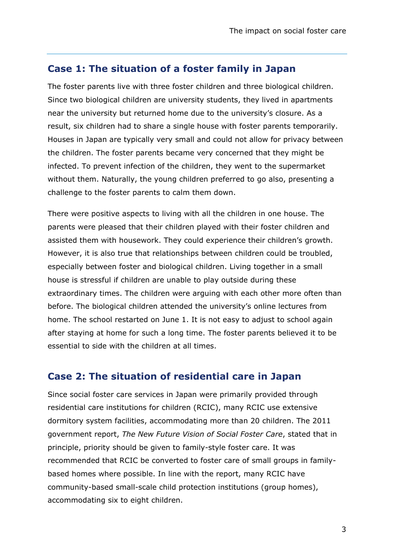#### **Case 1: The situation of a foster family in Japan**

The foster parents live with three foster children and three biological children. Since two biological children are university students, they lived in apartments near the university but returned home due to the university's closure. As a result, six children had to share a single house with foster parents temporarily. Houses in Japan are typically very small and could not allow for privacy between the children. The foster parents became very concerned that they might be infected. To prevent infection of the children, they went to the supermarket without them. Naturally, the young children preferred to go also, presenting a challenge to the foster parents to calm them down.

There were positive aspects to living with all the children in one house. The parents were pleased that their children played with their foster children and assisted them with housework. They could experience their children's growth. However, it is also true that relationships between children could be troubled, especially between foster and biological children. Living together in a small house is stressful if children are unable to play outside during these extraordinary times. The children were arguing with each other more often than before. The biological children attended the university's online lectures from home. The school restarted on June 1. It is not easy to adjust to school again after staying at home for such a long time. The foster parents believed it to be essential to side with the children at all times.

#### **Case 2: The situation of residential care in Japan**

Since social foster care services in Japan were primarily provided through residential care institutions for children (RCIC), many RCIC use extensive dormitory system facilities, accommodating more than 20 children. The 2011 government report, *The New Future Vision of Social Foster Care*, stated that in principle, priority should be given to family-style foster care. It was recommended that RCIC be converted to foster care of small groups in familybased homes where possible. In line with the report, many RCIC have community-based small-scale child protection institutions (group homes), accommodating six to eight children.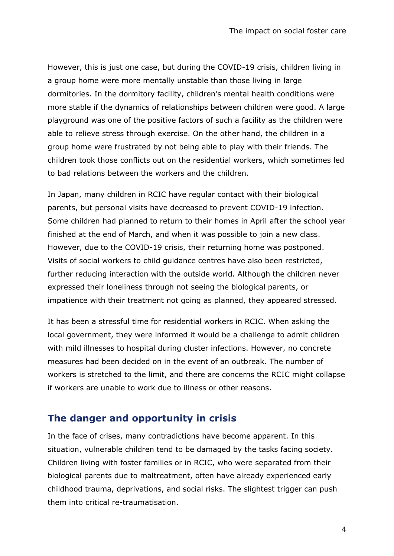However, this is just one case, but during the COVID-19 crisis, children living in a group home were more mentally unstable than those living in large dormitories. In the dormitory facility, children's mental health conditions were more stable if the dynamics of relationships between children were good. A large playground was one of the positive factors of such a facility as the children were able to relieve stress through exercise. On the other hand, the children in a group home were frustrated by not being able to play with their friends. The children took those conflicts out on the residential workers, which sometimes led to bad relations between the workers and the children.

In Japan, many children in RCIC have regular contact with their biological parents, but personal visits have decreased to prevent COVID-19 infection. Some children had planned to return to their homes in April after the school year finished at the end of March, and when it was possible to join a new class. However, due to the COVID-19 crisis, their returning home was postponed. Visits of social workers to child guidance centres have also been restricted, further reducing interaction with the outside world. Although the children never expressed their loneliness through not seeing the biological parents, or impatience with their treatment not going as planned, they appeared stressed.

It has been a stressful time for residential workers in RCIC. When asking the local government, they were informed it would be a challenge to admit children with mild illnesses to hospital during cluster infections. However, no concrete measures had been decided on in the event of an outbreak. The number of workers is stretched to the limit, and there are concerns the RCIC might collapse if workers are unable to work due to illness or other reasons.

#### **The danger and opportunity in crisis**

In the face of crises, many contradictions have become apparent. In this situation, vulnerable children tend to be damaged by the tasks facing society. Children living with foster families or in RCIC, who were separated from their biological parents due to maltreatment, often have already experienced early childhood trauma, deprivations, and social risks. The slightest trigger can push them into critical re-traumatisation.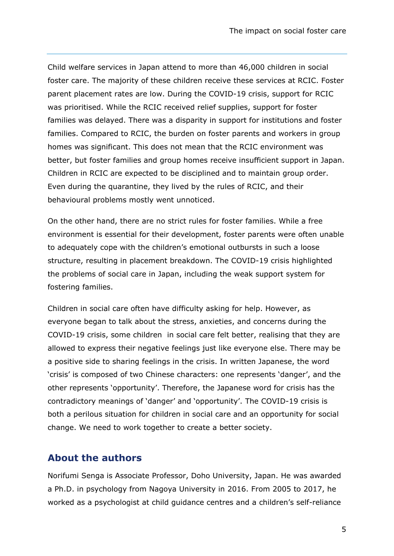Child welfare services in Japan attend to more than 46,000 children in social foster care. The majority of these children receive these services at RCIC. Foster parent placement rates are low. During the COVID-19 crisis, support for RCIC was prioritised. While the RCIC received relief supplies, support for foster families was delayed. There was a disparity in support for institutions and foster families. Compared to RCIC, the burden on foster parents and workers in group homes was significant. This does not mean that the RCIC environment was better, but foster families and group homes receive insufficient support in Japan. Children in RCIC are expected to be disciplined and to maintain group order. Even during the quarantine, they lived by the rules of RCIC, and their behavioural problems mostly went unnoticed.

On the other hand, there are no strict rules for foster families. While a free environment is essential for their development, foster parents were often unable to adequately cope with the children's emotional outbursts in such a loose structure, resulting in placement breakdown. The COVID-19 crisis highlighted the problems of social care in Japan, including the weak support system for fostering families.

Children in social care often have difficulty asking for help. However, as everyone began to talk about the stress, anxieties, and concerns during the COVID-19 crisis, some children in social care felt better, realising that they are allowed to express their negative feelings just like everyone else. There may be a positive side to sharing feelings in the crisis. In written Japanese, the word 'crisis' is composed of two Chinese characters: one represents 'danger', and the other represents 'opportunity'. Therefore, the Japanese word for crisis has the contradictory meanings of 'danger' and 'opportunity'. The COVID-19 crisis is both a perilous situation for children in social care and an opportunity for social change. We need to work together to create a better society.

#### **About the authors**

Norifumi Senga is Associate Professor, Doho University, Japan. He was awarded a Ph.D. in psychology from Nagoya University in 2016. From 2005 to 2017, he worked as a psychologist at child guidance centres and a children's self-reliance